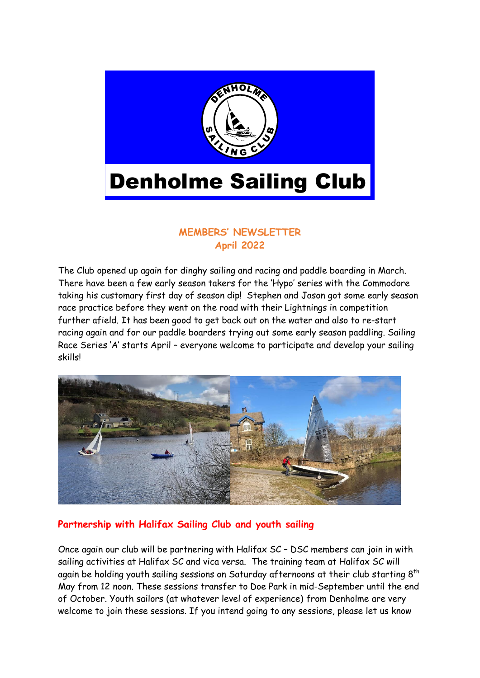

## **MEMBERS' NEWSLETTER April 2022**

The Club opened up again for dinghy sailing and racing and paddle boarding in March. There have been a few early season takers for the 'Hypo' series with the Commodore taking his customary first day of season dip! Stephen and Jason got some early season race practice before they went on the road with their Lightnings in competition further afield. It has been good to get back out on the water and also to re-start racing again and for our paddle boarders trying out some early season paddling. Sailing Race Series 'A' starts April – everyone welcome to participate and develop your sailing skills!



### **Partnership with Halifax Sailing Club and youth sailing**

Once again our club will be partnering with Halifax SC – DSC members can join in with sailing activities at Halifax SC and vica versa. The training team at Halifax SC will again be holding youth sailing sessions on Saturday afternoons at their club starting  $8^{\rm th}$ May from 12 noon. These sessions transfer to Doe Park in mid-September until the end of October. Youth sailors (at whatever level of experience) from Denholme are very welcome to join these sessions. If you intend going to any sessions, please let us know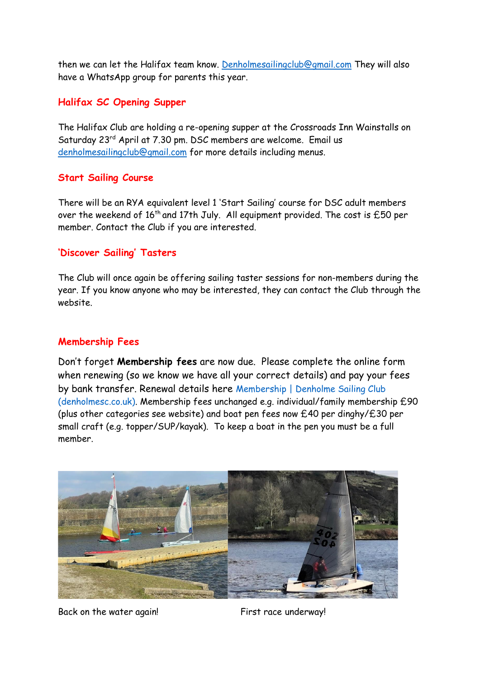then we can let the Halifax team know. [Denholmesailingclub@gmail.com](mailto:Denholmesailingclub@gmail.com) They will also have a WhatsApp group for parents this year.

## **Halifax SC Opening Supper**

The Halifax Club are holding a re-opening supper at the Crossroads Inn Wainstalls on Saturday 23<sup>rd</sup> April at 7.30 pm. DSC members are welcome. Email us [denholmesailingclub@gmail.com](mailto:denholmesailingclub@gmail.com) for more details including menus.

## **Start Sailing Course**

There will be an RYA equivalent level 1 'Start Sailing' course for DSC adult members over the weekend of  $16^{th}$  and 17th July. All equipment provided. The cost is £50 per member. Contact the Club if you are interested.

# **'Discover Sailing' Tasters**

The Club will once again be offering sailing taster sessions for non-members during the year. If you know anyone who may be interested, they can contact the Club through the website.

# **Membership Fees**

Don't forget **Membership fees** are now due. Please complete the online form when renewing (so we know we have all your correct details) and pay your fees by bank transfer. Renewal details here [Membership | Denholme Sailing Club](http://denholmesc.co.uk/join-us/)  [\(denholmesc.co.uk\).](http://denholmesc.co.uk/join-us/) Membership fees unchanged e.g. individual/family membership £90 (plus other categories see website) and boat pen fees now £40 per dinghy/£30 per small craft (e.g. topper/SUP/kayak). To keep a boat in the pen you must be a full member.



Back on the water again! First race underway!